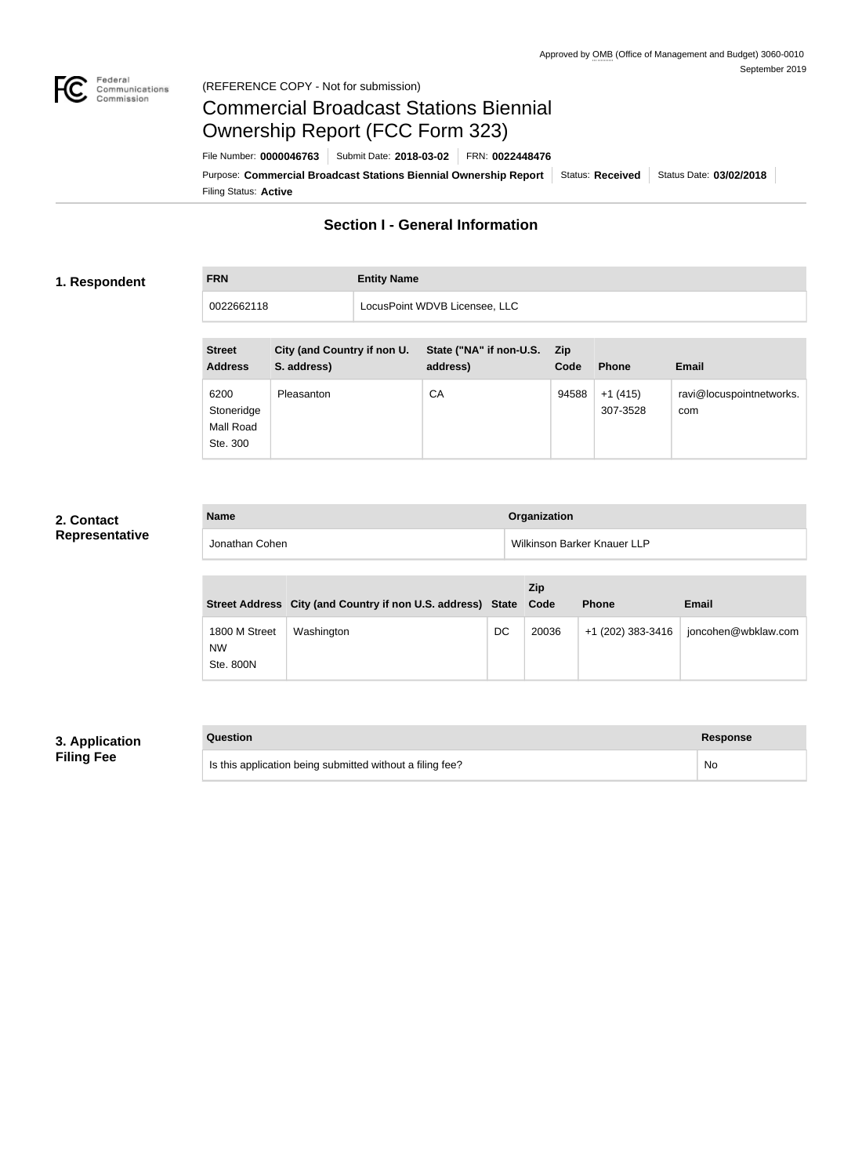

#### Federal<br>Communications<br>Commission (REFERENCE COPY - Not for submission)

# Commercial Broadcast Stations Biennial Ownership Report (FCC Form 323)

Filing Status: **Active** Purpose: Commercial Broadcast Stations Biennial Ownership Report Status: Received Status Date: 03/02/2018 File Number: **0000046763** Submit Date: **2018-03-02** FRN: **0022448476**

## **Section I - General Information**

#### **1. Respondent**

**FRN Entity Name**

| 0022662118 | LocusPoint WDVB Licensee, LLC |  |
|------------|-------------------------------|--|
|            |                               |  |

| <b>Street</b><br><b>Address</b>             | City (and Country if non U.<br>S. address) | State ("NA" if non-U.S.<br>address) | – Zip<br>Code | <b>Phone</b>          | <b>Email</b>                    |
|---------------------------------------------|--------------------------------------------|-------------------------------------|---------------|-----------------------|---------------------------------|
| 6200<br>Stoneridge<br>Mall Road<br>Ste. 300 | Pleasanton                                 | CA                                  | 94588         | $+1(415)$<br>307-3528 | ravi@locuspointnetworks.<br>com |

#### **2. Contact Representative**

| <b>Name</b>    | <b>Organization</b>         |
|----------------|-----------------------------|
| Jonathan Cohen | Wilkinson Barker Knauer LLP |

|                                         | Street Address City (and Country if non U.S. address) State Code |    | Zip   | <b>Phone</b>      | Email               |
|-----------------------------------------|------------------------------------------------------------------|----|-------|-------------------|---------------------|
| 1800 M Street<br><b>NW</b><br>Ste. 800N | Washington                                                       | DC | 20036 | +1 (202) 383-3416 | joncohen@wbklaw.com |

## **3. Application Filing Fee**

| Question                                                  | Response |
|-----------------------------------------------------------|----------|
| Is this application being submitted without a filing fee? | No       |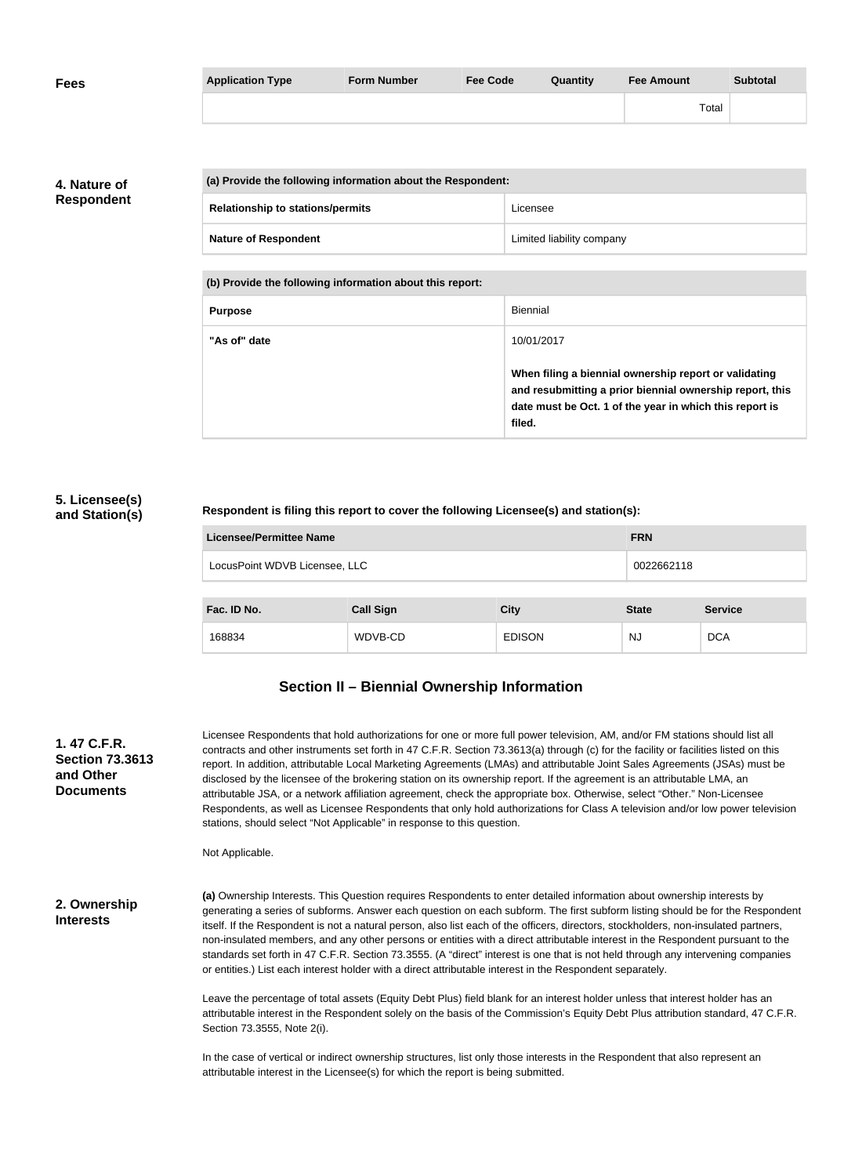| <b>Fees</b> | <b>Application Type</b> | <b>Form Number</b> | <b>Fee Code</b> | Quantity | <b>Fee Amount</b> | <b>Subtotal</b> |
|-------------|-------------------------|--------------------|-----------------|----------|-------------------|-----------------|
|             |                         |                    |                 |          | Total             |                 |

**4. Nature of Respondent**

| (a) Provide the following information about the Respondent: |                           |  |
|-------------------------------------------------------------|---------------------------|--|
| <b>Relationship to stations/permits</b>                     | Licensee                  |  |
| <b>Nature of Respondent</b>                                 | Limited liability company |  |

**(b) Provide the following information about this report:**

| <b>Purpose</b> | Biennial                                                                                                                                                                               |
|----------------|----------------------------------------------------------------------------------------------------------------------------------------------------------------------------------------|
| "As of" date   | 10/01/2017                                                                                                                                                                             |
|                | When filing a biennial ownership report or validating<br>and resubmitting a prior biennial ownership report, this<br>date must be Oct. 1 of the year in which this report is<br>filed. |

#### **5. Licensee(s) and Station(s)**

**Respondent is filing this report to cover the following Licensee(s) and station(s):**

| Licensee/Permittee Name       | <b>FRN</b>       |               |              |                |
|-------------------------------|------------------|---------------|--------------|----------------|
| LocusPoint WDVB Licensee, LLC |                  |               | 0022662118   |                |
|                               |                  |               |              |                |
| Fac. ID No.                   | <b>Call Sign</b> | <b>City</b>   | <b>State</b> | <b>Service</b> |
| 168834                        | WDVB-CD          | <b>EDISON</b> | NJ           | <b>DCA</b>     |

# **Section II – Biennial Ownership Information**

**1. 47 C.F.R. Section 73.3613 and Other Documents**

Licensee Respondents that hold authorizations for one or more full power television, AM, and/or FM stations should list all contracts and other instruments set forth in 47 C.F.R. Section 73.3613(a) through (c) for the facility or facilities listed on this report. In addition, attributable Local Marketing Agreements (LMAs) and attributable Joint Sales Agreements (JSAs) must be disclosed by the licensee of the brokering station on its ownership report. If the agreement is an attributable LMA, an attributable JSA, or a network affiliation agreement, check the appropriate box. Otherwise, select "Other." Non-Licensee Respondents, as well as Licensee Respondents that only hold authorizations for Class A television and/or low power television stations, should select "Not Applicable" in response to this question.

Not Applicable.

**2. Ownership Interests**

**(a)** Ownership Interests. This Question requires Respondents to enter detailed information about ownership interests by generating a series of subforms. Answer each question on each subform. The first subform listing should be for the Respondent itself. If the Respondent is not a natural person, also list each of the officers, directors, stockholders, non-insulated partners, non-insulated members, and any other persons or entities with a direct attributable interest in the Respondent pursuant to the standards set forth in 47 C.F.R. Section 73.3555. (A "direct" interest is one that is not held through any intervening companies or entities.) List each interest holder with a direct attributable interest in the Respondent separately.

Leave the percentage of total assets (Equity Debt Plus) field blank for an interest holder unless that interest holder has an attributable interest in the Respondent solely on the basis of the Commission's Equity Debt Plus attribution standard, 47 C.F.R. Section 73.3555, Note 2(i).

In the case of vertical or indirect ownership structures, list only those interests in the Respondent that also represent an attributable interest in the Licensee(s) for which the report is being submitted.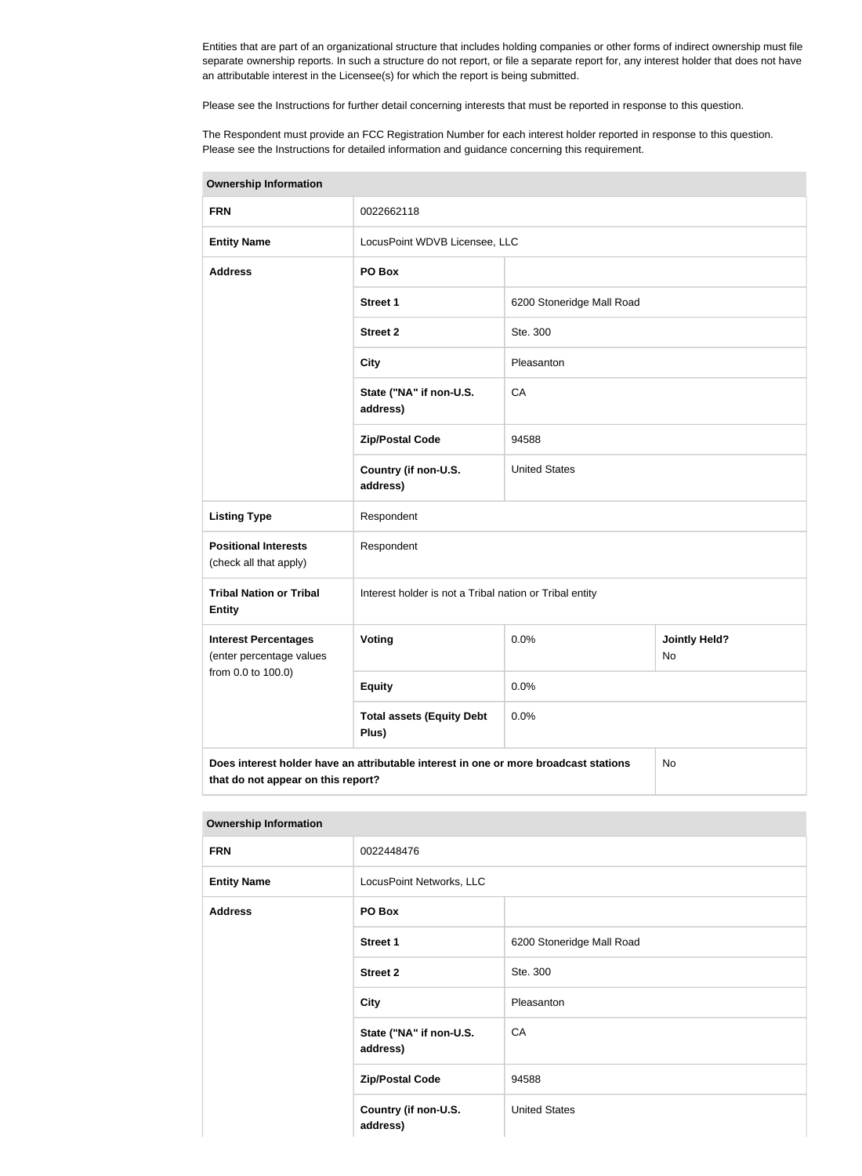Entities that are part of an organizational structure that includes holding companies or other forms of indirect ownership must file separate ownership reports. In such a structure do not report, or file a separate report for, any interest holder that does not have an attributable interest in the Licensee(s) for which the report is being submitted.

Please see the Instructions for further detail concerning interests that must be reported in response to this question.

The Respondent must provide an FCC Registration Number for each interest holder reported in response to this question. Please see the Instructions for detailed information and guidance concerning this requirement.

| <b>Ownership Information</b>                                                                                                     |                                                         |                           |  |  |
|----------------------------------------------------------------------------------------------------------------------------------|---------------------------------------------------------|---------------------------|--|--|
| <b>FRN</b>                                                                                                                       | 0022662118                                              |                           |  |  |
| <b>Entity Name</b>                                                                                                               | LocusPoint WDVB Licensee, LLC                           |                           |  |  |
| <b>Address</b>                                                                                                                   | PO Box                                                  |                           |  |  |
|                                                                                                                                  | <b>Street 1</b>                                         | 6200 Stoneridge Mall Road |  |  |
|                                                                                                                                  | <b>Street 2</b>                                         | Ste. 300                  |  |  |
|                                                                                                                                  | <b>City</b>                                             | Pleasanton                |  |  |
|                                                                                                                                  | State ("NA" if non-U.S.<br>address)                     | CA                        |  |  |
|                                                                                                                                  | <b>Zip/Postal Code</b>                                  | 94588                     |  |  |
|                                                                                                                                  | Country (if non-U.S.<br>address)                        | <b>United States</b>      |  |  |
| <b>Listing Type</b>                                                                                                              | Respondent                                              |                           |  |  |
| <b>Positional Interests</b><br>(check all that apply)                                                                            | Respondent                                              |                           |  |  |
| <b>Tribal Nation or Tribal</b><br><b>Entity</b>                                                                                  | Interest holder is not a Tribal nation or Tribal entity |                           |  |  |
| <b>Interest Percentages</b><br>(enter percentage values                                                                          | Voting<br>0.0%<br><b>Jointly Held?</b><br><b>No</b>     |                           |  |  |
| from 0.0 to 100.0)                                                                                                               | <b>Equity</b>                                           | 0.0%                      |  |  |
|                                                                                                                                  | <b>Total assets (Equity Debt</b><br>Plus)               | 0.0%                      |  |  |
| Does interest holder have an attributable interest in one or more broadcast stations<br>No<br>that do not appear on this report? |                                                         |                           |  |  |

#### **Ownership Information**

| <b>FRN</b>         | 0022448476                          |                           |  |
|--------------------|-------------------------------------|---------------------------|--|
| <b>Entity Name</b> | LocusPoint Networks, LLC            |                           |  |
| <b>Address</b>     | PO Box                              |                           |  |
|                    | Street 1                            | 6200 Stoneridge Mall Road |  |
|                    | <b>Street 2</b>                     | Ste. 300                  |  |
|                    | <b>City</b>                         | Pleasanton                |  |
|                    | State ("NA" if non-U.S.<br>address) | CA                        |  |
|                    | <b>Zip/Postal Code</b>              | 94588                     |  |
|                    | Country (if non-U.S.<br>address)    | <b>United States</b>      |  |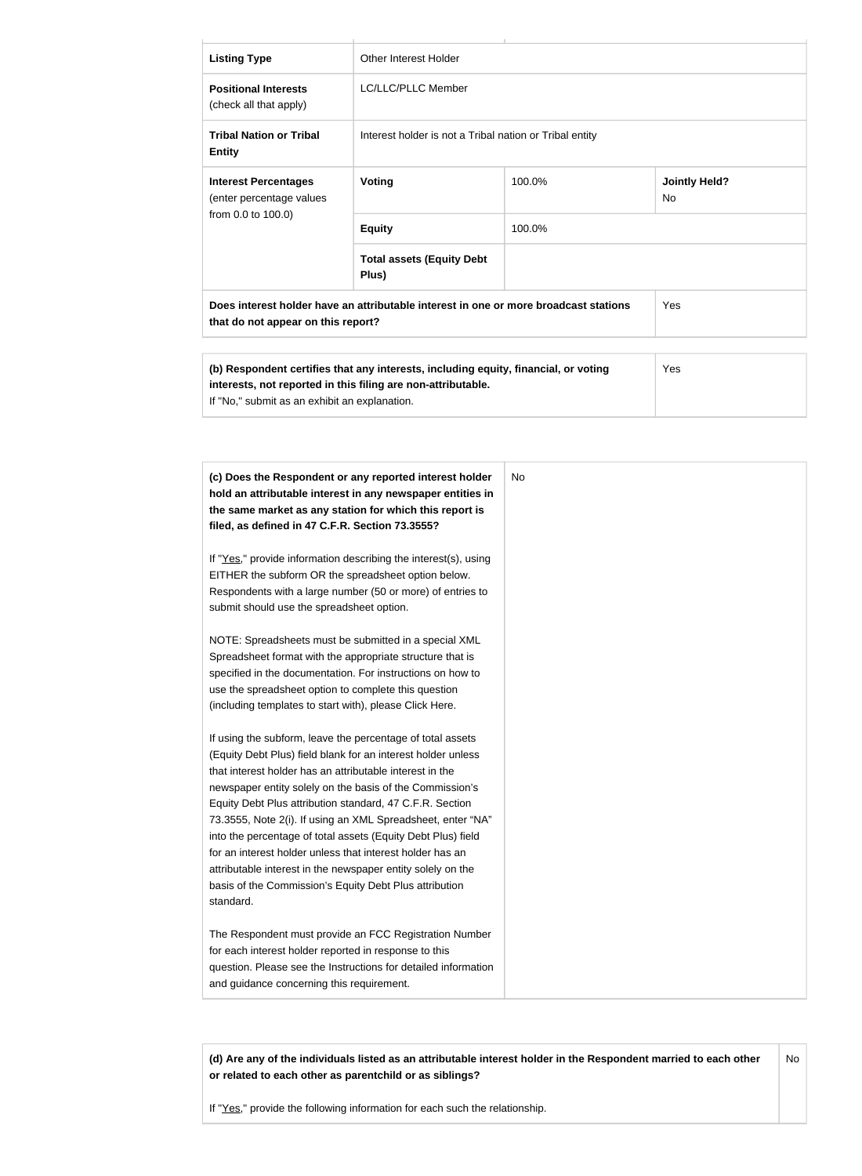| <b>Listing Type</b>                                                                                                                                                                                                                                                                                                                                                                                                                                                                                                                                                                                                                                                                                                          | <b>Other Interest Holder</b>                                                                                                                                                                                                                                                                                                                                                                                                                                                                                                                                                                                                                                                                        |        |                                   |  |
|------------------------------------------------------------------------------------------------------------------------------------------------------------------------------------------------------------------------------------------------------------------------------------------------------------------------------------------------------------------------------------------------------------------------------------------------------------------------------------------------------------------------------------------------------------------------------------------------------------------------------------------------------------------------------------------------------------------------------|-----------------------------------------------------------------------------------------------------------------------------------------------------------------------------------------------------------------------------------------------------------------------------------------------------------------------------------------------------------------------------------------------------------------------------------------------------------------------------------------------------------------------------------------------------------------------------------------------------------------------------------------------------------------------------------------------------|--------|-----------------------------------|--|
| <b>Positional Interests</b><br>(check all that apply)                                                                                                                                                                                                                                                                                                                                                                                                                                                                                                                                                                                                                                                                        | LC/LLC/PLLC Member                                                                                                                                                                                                                                                                                                                                                                                                                                                                                                                                                                                                                                                                                  |        |                                   |  |
| <b>Tribal Nation or Tribal</b><br><b>Entity</b>                                                                                                                                                                                                                                                                                                                                                                                                                                                                                                                                                                                                                                                                              | Interest holder is not a Tribal nation or Tribal entity                                                                                                                                                                                                                                                                                                                                                                                                                                                                                                                                                                                                                                             |        |                                   |  |
| <b>Interest Percentages</b><br>(enter percentage values                                                                                                                                                                                                                                                                                                                                                                                                                                                                                                                                                                                                                                                                      | Voting                                                                                                                                                                                                                                                                                                                                                                                                                                                                                                                                                                                                                                                                                              | 100.0% | <b>Jointly Held?</b><br><b>No</b> |  |
| from 0.0 to 100.0)                                                                                                                                                                                                                                                                                                                                                                                                                                                                                                                                                                                                                                                                                                           | <b>Equity</b>                                                                                                                                                                                                                                                                                                                                                                                                                                                                                                                                                                                                                                                                                       | 100.0% |                                   |  |
|                                                                                                                                                                                                                                                                                                                                                                                                                                                                                                                                                                                                                                                                                                                              | <b>Total assets (Equity Debt</b><br>Plus)                                                                                                                                                                                                                                                                                                                                                                                                                                                                                                                                                                                                                                                           |        |                                   |  |
| that do not appear on this report?                                                                                                                                                                                                                                                                                                                                                                                                                                                                                                                                                                                                                                                                                           | Does interest holder have an attributable interest in one or more broadcast stations                                                                                                                                                                                                                                                                                                                                                                                                                                                                                                                                                                                                                |        | Yes                               |  |
| If "No," submit as an exhibit an explanation.                                                                                                                                                                                                                                                                                                                                                                                                                                                                                                                                                                                                                                                                                | (b) Respondent certifies that any interests, including equity, financial, or voting<br>interests, not reported in this filing are non-attributable.                                                                                                                                                                                                                                                                                                                                                                                                                                                                                                                                                 |        | Yes                               |  |
| filed, as defined in 47 C.F.R. Section 73.3555?<br>EITHER the subform OR the spreadsheet option below.<br>submit should use the spreadsheet option.<br>Spreadsheet format with the appropriate structure that is<br>use the spreadsheet option to complete this question<br>(including templates to start with), please Click Here.<br>If using the subform, leave the percentage of total assets<br>that interest holder has an attributable interest in the<br>Equity Debt Plus attribution standard, 47 C.F.R. Section<br>for an interest holder unless that interest holder has an<br>attributable interest in the newspaper entity solely on the<br>basis of the Commission's Equity Debt Plus attribution<br>standard. | (c) Does the Respondent or any reported interest holder<br>hold an attributable interest in any newspaper entities in<br>the same market as any station for which this report is<br>If "Yes," provide information describing the interest(s), using<br>Respondents with a large number (50 or more) of entries to<br>NOTE: Spreadsheets must be submitted in a special XML<br>specified in the documentation. For instructions on how to<br>(Equity Debt Plus) field blank for an interest holder unless<br>newspaper entity solely on the basis of the Commission's<br>73.3555, Note 2(i). If using an XML Spreadsheet, enter "NA"<br>into the percentage of total assets (Equity Debt Plus) field | No.    |                                   |  |
| for each interest holder reported in response to this<br>and guidance concerning this requirement.                                                                                                                                                                                                                                                                                                                                                                                                                                                                                                                                                                                                                           | The Respondent must provide an FCC Registration Number<br>question. Please see the Instructions for detailed information                                                                                                                                                                                                                                                                                                                                                                                                                                                                                                                                                                            |        |                                   |  |

**(d) Are any of the individuals listed as an attributable interest holder in the Respondent married to each other or related to each other as parentchild or as siblings?** No

If "Yes," provide the following information for each such the relationship.